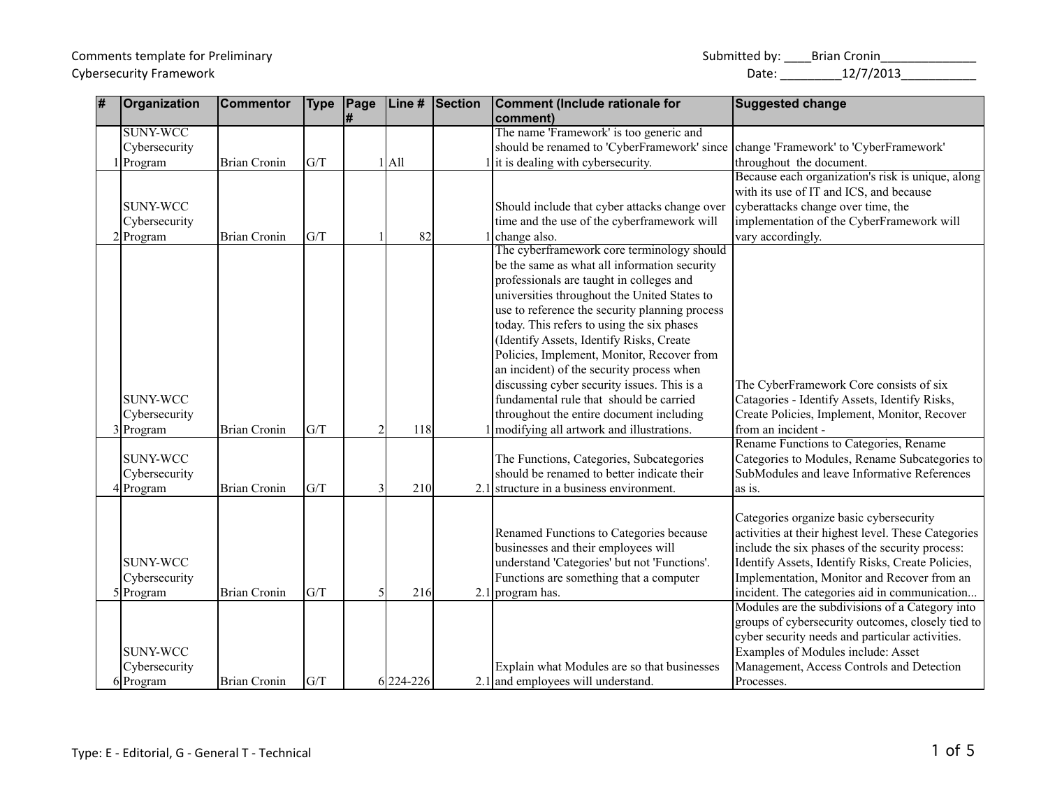## Cybersecurity Framework 2001 2012 2013 2014 2015 2017 2018 2014 2020 2021 203 2021 203 2021 203 2021 203 2021 20

| 7 | Organization    | <b>Commentor</b>    | <b>Type</b> | Page | Line #    | Section | <b>Comment (Include rationale for</b>                                              | <b>Suggested change</b>                             |
|---|-----------------|---------------------|-------------|------|-----------|---------|------------------------------------------------------------------------------------|-----------------------------------------------------|
|   |                 |                     |             |      |           |         | comment)                                                                           |                                                     |
|   | <b>SUNY-WCC</b> |                     |             |      |           |         | The name 'Framework' is too generic and                                            |                                                     |
|   | Cybersecurity   |                     |             |      |           |         | should be renamed to 'CyberFramework' since change 'Framework' to 'CyberFramework' |                                                     |
|   | 1 Program       | <b>Brian Cronin</b> | G/T         |      | $1$ All   |         | it is dealing with cybersecurity.                                                  | throughout the document.                            |
|   |                 |                     |             |      |           |         |                                                                                    | Because each organization's risk is unique, along   |
|   |                 |                     |             |      |           |         |                                                                                    | with its use of IT and ICS, and because             |
|   | <b>SUNY-WCC</b> |                     |             |      |           |         | Should include that cyber attacks change over                                      | cyberattacks change over time, the                  |
|   | Cybersecurity   |                     |             |      |           |         | time and the use of the cyberframework will                                        | implementation of the CyberFramework will           |
|   | $2$ Program     | <b>Brian Cronin</b> | G/T         |      | 82        |         | change also.                                                                       | vary accordingly.                                   |
|   |                 |                     |             |      |           |         | The cyberframework core terminology should                                         |                                                     |
|   |                 |                     |             |      |           |         | be the same as what all information security                                       |                                                     |
|   |                 |                     |             |      |           |         | professionals are taught in colleges and                                           |                                                     |
|   |                 |                     |             |      |           |         | universities throughout the United States to                                       |                                                     |
|   |                 |                     |             |      |           |         | use to reference the security planning process                                     |                                                     |
|   |                 |                     |             |      |           |         | today. This refers to using the six phases                                         |                                                     |
|   |                 |                     |             |      |           |         | (Identify Assets, Identify Risks, Create                                           |                                                     |
|   |                 |                     |             |      |           |         | Policies, Implement, Monitor, Recover from                                         |                                                     |
|   |                 |                     |             |      |           |         | an incident) of the security process when                                          |                                                     |
|   |                 |                     |             |      |           |         | discussing cyber security issues. This is a                                        | The CyberFramework Core consists of six             |
|   | <b>SUNY-WCC</b> |                     |             |      |           |         | fundamental rule that should be carried                                            | Catagories - Identify Assets, Identify Risks,       |
|   | Cybersecurity   |                     |             |      |           |         | throughout the entire document including                                           | Create Policies, Implement, Monitor, Recover        |
|   | 3 Program       | <b>Brian Cronin</b> | G/T         |      | 118       |         | modifying all artwork and illustrations.                                           | from an incident -                                  |
|   |                 |                     |             |      |           |         |                                                                                    | Rename Functions to Categories, Rename              |
|   | <b>SUNY-WCC</b> |                     |             |      |           |         | The Functions, Categories, Subcategories                                           | Categories to Modules, Rename Subcategories to      |
|   | Cybersecurity   |                     |             |      |           |         | should be renamed to better indicate their                                         | SubModules and leave Informative References         |
|   | 4 Program       | <b>Brian Cronin</b> | G/T         |      | 210       |         | $2.1$ structure in a business environment.                                         | as is.                                              |
|   |                 |                     |             |      |           |         |                                                                                    |                                                     |
|   |                 |                     |             |      |           |         |                                                                                    | Categories organize basic cybersecurity             |
|   |                 |                     |             |      |           |         | Renamed Functions to Categories because                                            | activities at their highest level. These Categories |
|   |                 |                     |             |      |           |         | businesses and their employees will                                                | include the six phases of the security process:     |
|   | <b>SUNY-WCC</b> |                     |             |      |           |         | understand 'Categories' but not 'Functions'.                                       | Identify Assets, Identify Risks, Create Policies,   |
|   | Cybersecurity   |                     |             |      |           |         | Functions are something that a computer                                            | Implementation, Monitor and Recover from an         |
|   | $5$ Program     | <b>Brian Cronin</b> | G/T         |      | 216       |         | 2.1 program has.                                                                   | incident. The categories aid in communication       |
|   |                 |                     |             |      |           |         |                                                                                    | Modules are the subdivisions of a Category into     |
|   |                 |                     |             |      |           |         |                                                                                    | groups of cybersecurity outcomes, closely tied to   |
|   |                 |                     |             |      |           |         |                                                                                    | cyber security needs and particular activities.     |
|   | <b>SUNY-WCC</b> |                     |             |      |           |         |                                                                                    | Examples of Modules include: Asset                  |
|   | Cybersecurity   |                     |             |      |           |         | Explain what Modules are so that businesses                                        | Management, Access Controls and Detection           |
|   | $6$ Program     | <b>Brian Cronin</b> | G/T         |      | 6 224-226 |         | $2.1$ and employees will understand.                                               | Processes.                                          |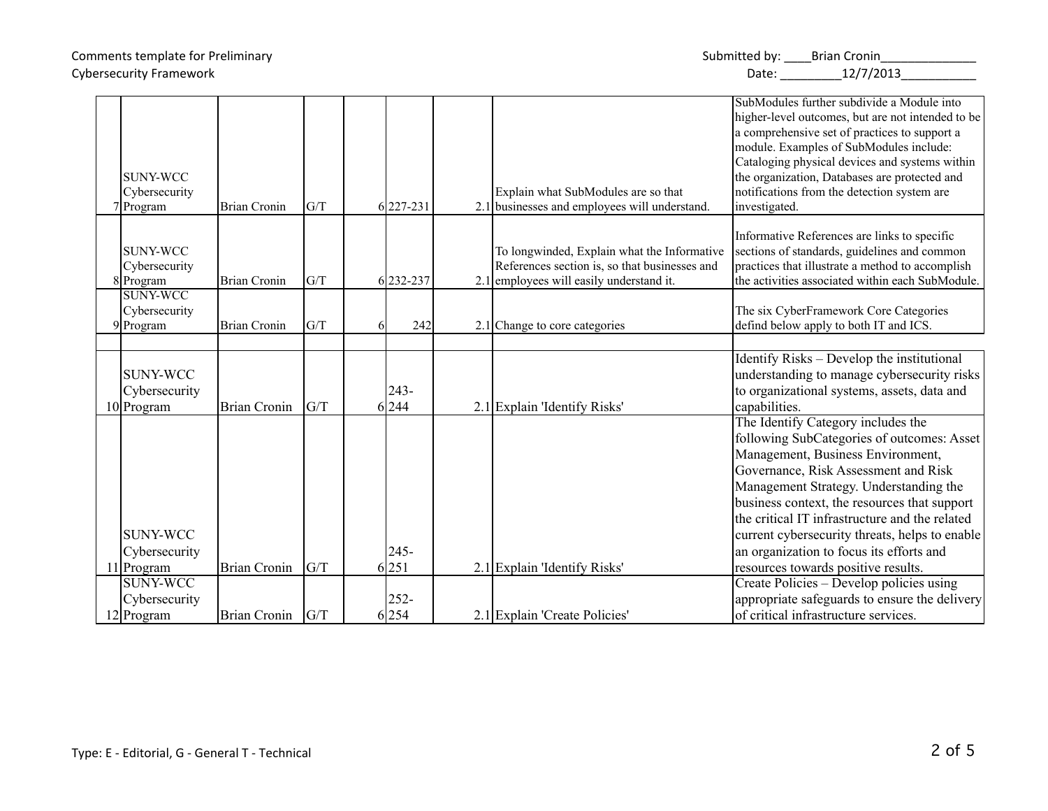| Comments template for Preliminary | Submitted by: | <b>Brian Cronin</b> |
|-----------------------------------|---------------|---------------------|
| <b>Cybersecurity Framework</b>    | Date:         | 12/7/2013           |

| <b>SUNY-WCC</b><br>Cybersecurity                 |                     |     |    |                  | Explain what SubModules are so that                                                                                                      | SubModules further subdivide a Module into<br>higher-level outcomes, but are not intended to be<br>a comprehensive set of practices to support a<br>module. Examples of SubModules include:<br>Cataloging physical devices and systems within<br>the organization, Databases are protected and<br>notifications from the detection system are                                                                                                  |
|--------------------------------------------------|---------------------|-----|----|------------------|------------------------------------------------------------------------------------------------------------------------------------------|------------------------------------------------------------------------------------------------------------------------------------------------------------------------------------------------------------------------------------------------------------------------------------------------------------------------------------------------------------------------------------------------------------------------------------------------|
| 7Program                                         | <b>Brian Cronin</b> | G/T |    | 6 227-231        | 2.1 businesses and employees will understand.                                                                                            | investigated.                                                                                                                                                                                                                                                                                                                                                                                                                                  |
| SUNY-WCC<br>Cybersecurity<br>8 Program           | <b>Brian Cronin</b> | G/T |    | 6232-237         | To longwinded, Explain what the Informative<br>References section is, so that businesses and<br>2.1 employees will easily understand it. | Informative References are links to specific<br>sections of standards, guidelines and common<br>practices that illustrate a method to accomplish<br>the activities associated within each SubModule.                                                                                                                                                                                                                                           |
| <b>SUNY-WCC</b><br>Cybersecurity<br>9 Program    | <b>Brian Cronin</b> | G/T |    | 242              | 2.1 Change to core categories                                                                                                            | The six CyberFramework Core Categories<br>defind below apply to both IT and ICS.                                                                                                                                                                                                                                                                                                                                                               |
|                                                  |                     |     |    |                  |                                                                                                                                          |                                                                                                                                                                                                                                                                                                                                                                                                                                                |
| <b>SUNY-WCC</b><br>Cybersecurity<br>$10$ Program | <b>Brian Cronin</b> | G/T |    | $243 -$<br>6 244 | 2.1 Explain 'Identify Risks'                                                                                                             | Identify Risks – Develop the institutional<br>understanding to manage cybersecurity risks<br>to organizational systems, assets, data and<br>capabilities.                                                                                                                                                                                                                                                                                      |
| <b>SUNY-WCC</b><br>Cybersecurity<br>11 Program   | <b>Brian Cronin</b> | G/T | 61 | $245 -$<br>251   | 2.1 Explain 'Identify Risks'                                                                                                             | The Identify Category includes the<br>following SubCategories of outcomes: Asset<br>Management, Business Environment,<br>Governance, Risk Assessment and Risk<br>Management Strategy. Understanding the<br>business context, the resources that support<br>the critical IT infrastructure and the related<br>current cybersecurity threats, helps to enable<br>an organization to focus its efforts and<br>resources towards positive results. |
| <b>SUNY-WCC</b>                                  |                     |     |    |                  |                                                                                                                                          | Create Policies – Develop policies using                                                                                                                                                                                                                                                                                                                                                                                                       |
| Cybersecurity                                    |                     |     |    | $252 -$          |                                                                                                                                          | appropriate safeguards to ensure the delivery                                                                                                                                                                                                                                                                                                                                                                                                  |
| $12$ Program                                     | <b>Brian Cronin</b> | G/T |    | 6 254            | 2.1 Explain 'Create Policies'                                                                                                            | of critical infrastructure services.                                                                                                                                                                                                                                                                                                                                                                                                           |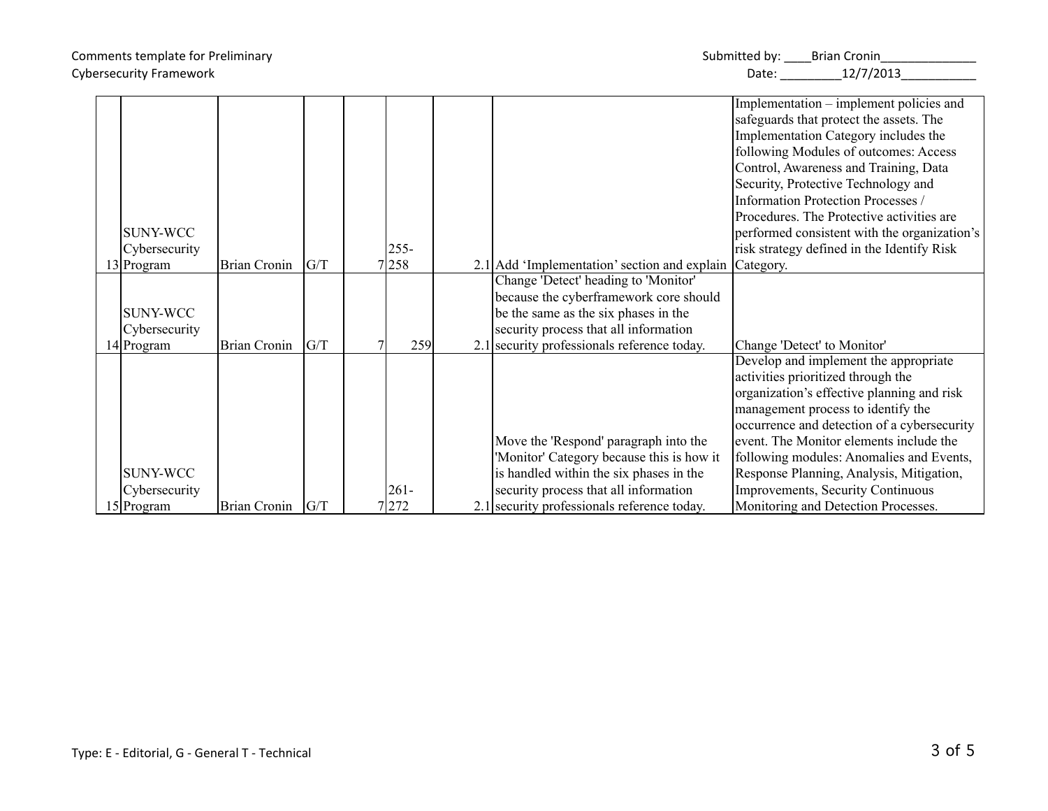| Comments template for Preliminary | Submitted by: | <b>Brian Cronin</b> |
|-----------------------------------|---------------|---------------------|
| <b>Cybersecurity Framework</b>    | Date:         | 12/7/2013           |

|                 |                     |     |         |                                              | Implementation – implement policies and      |
|-----------------|---------------------|-----|---------|----------------------------------------------|----------------------------------------------|
|                 |                     |     |         |                                              | safeguards that protect the assets. The      |
|                 |                     |     |         |                                              | Implementation Category includes the         |
|                 |                     |     |         |                                              | following Modules of outcomes: Access        |
|                 |                     |     |         |                                              | Control, Awareness and Training, Data        |
|                 |                     |     |         |                                              | Security, Protective Technology and          |
|                 |                     |     |         |                                              | Information Protection Processes /           |
|                 |                     |     |         |                                              | Procedures. The Protective activities are    |
| <b>SUNY-WCC</b> |                     |     |         |                                              | performed consistent with the organization's |
| Cybersecurity   |                     |     | $255 -$ |                                              | risk strategy defined in the Identify Risk   |
| 13 Program      | <b>Brian Cronin</b> | G/T | 258     | 2.1 Add 'Implementation' section and explain | Category.                                    |
|                 |                     |     |         | Change 'Detect' heading to 'Monitor'         |                                              |
|                 |                     |     |         | because the cyberframework core should       |                                              |
| <b>SUNY-WCC</b> |                     |     |         | be the same as the six phases in the         |                                              |
| Cybersecurity   |                     |     |         | security process that all information        |                                              |
| $14$ Program    | <b>Brian Cronin</b> | G/T | 259     | 2.1 security professionals reference today.  | Change 'Detect' to Monitor'                  |
|                 |                     |     |         |                                              | Develop and implement the appropriate        |
|                 |                     |     |         |                                              | activities prioritized through the           |
|                 |                     |     |         |                                              | organization's effective planning and risk   |
|                 |                     |     |         |                                              | management process to identify the           |
|                 |                     |     |         |                                              | occurrence and detection of a cybersecurity  |
|                 |                     |     |         | Move the 'Respond' paragraph into the        | event. The Monitor elements include the      |
|                 |                     |     |         | 'Monitor' Category because this is how it    | following modules: Anomalies and Events,     |
| <b>SUNY-WCC</b> |                     |     |         | is handled within the six phases in the      | Response Planning, Analysis, Mitigation,     |
| Cybersecurity   |                     |     | $261 -$ | security process that all information        | Improvements, Security Continuous            |
| 15 Program      | Brian Cronin        | G/T | 7272    | 2.1 security professionals reference today.  | Monitoring and Detection Processes.          |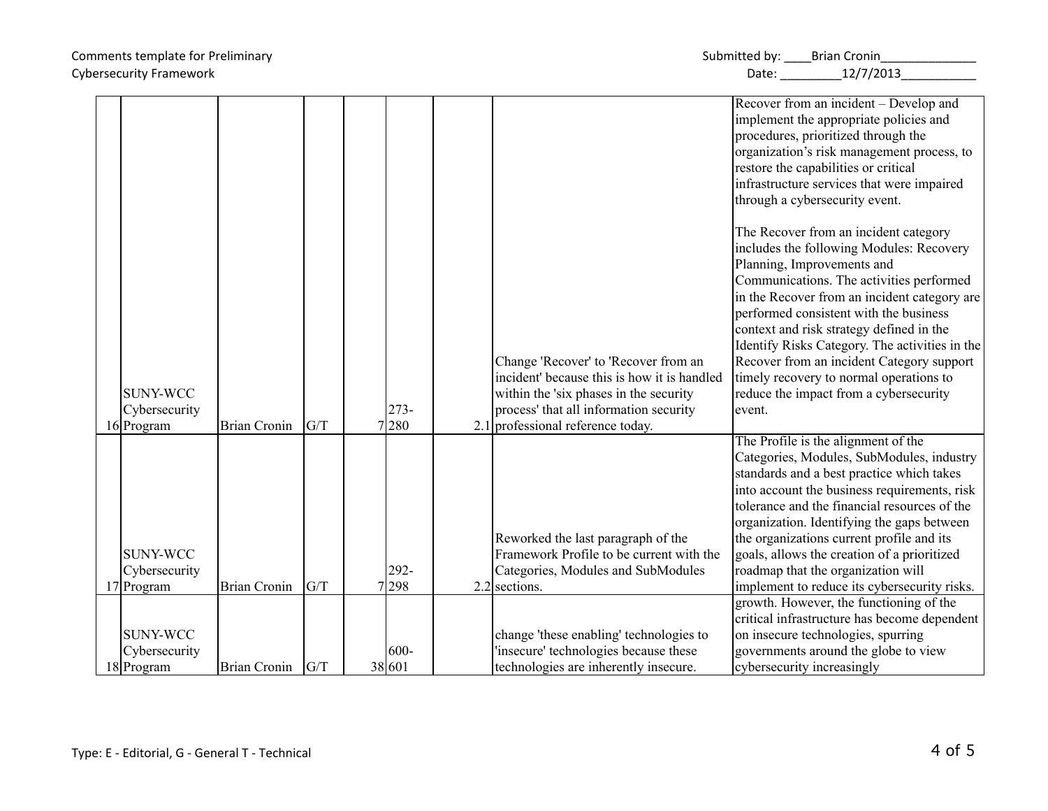| Comments template for Preliminary | Submitted by: | <b>Brian Cronin</b> |
|-----------------------------------|---------------|---------------------|
| <b>Cybersecurity Framework</b>    | Date:         | 12/7/2013           |

|                 |                     |     |         |                                             | Recover from an incident – Develop and         |
|-----------------|---------------------|-----|---------|---------------------------------------------|------------------------------------------------|
|                 |                     |     |         |                                             | implement the appropriate policies and         |
|                 |                     |     |         |                                             | procedures, prioritized through the            |
|                 |                     |     |         |                                             | organization's risk management process, to     |
|                 |                     |     |         |                                             | restore the capabilities or critical           |
|                 |                     |     |         |                                             | infrastructure services that were impaired     |
|                 |                     |     |         |                                             | through a cybersecurity event.                 |
|                 |                     |     |         |                                             |                                                |
|                 |                     |     |         |                                             | The Recover from an incident category          |
|                 |                     |     |         |                                             | includes the following Modules: Recovery       |
|                 |                     |     |         |                                             | Planning, Improvements and                     |
|                 |                     |     |         |                                             | Communications. The activities performed       |
|                 |                     |     |         |                                             | in the Recover from an incident category are   |
|                 |                     |     |         |                                             | performed consistent with the business         |
|                 |                     |     |         |                                             | context and risk strategy defined in the       |
|                 |                     |     |         |                                             | Identify Risks Category. The activities in the |
|                 |                     |     |         | Change 'Recover' to 'Recover from an        | Recover from an incident Category support      |
|                 |                     |     |         | incident' because this is how it is handled | timely recovery to normal operations to        |
| <b>SUNY-WCC</b> |                     |     |         | within the 'six phases in the security      | reduce the impact from a cybersecurity         |
| Cybersecurity   |                     |     | $273-$  | process' that all information security      | event.                                         |
| 16 Program      | <b>Brian Cronin</b> | G/T | 7280    | $2.1$ professional reference today.         |                                                |
|                 |                     |     |         |                                             | The Profile is the alignment of the            |
|                 |                     |     |         |                                             | Categories, Modules, SubModules, industry      |
|                 |                     |     |         |                                             | standards and a best practice which takes      |
|                 |                     |     |         |                                             | into account the business requirements, risk   |
|                 |                     |     |         |                                             | tolerance and the financial resources of the   |
|                 |                     |     |         |                                             | organization. Identifying the gaps between     |
|                 |                     |     |         | Reworked the last paragraph of the          | the organizations current profile and its      |
| <b>SUNY-WCC</b> |                     |     |         | Framework Profile to be current with the    | goals, allows the creation of a prioritized    |
| Cybersecurity   |                     |     | 292-    | Categories, Modules and SubModules          | roadmap that the organization will             |
| 17 Program      | <b>Brian Cronin</b> | G/T | 7298    | $2.2$ sections.                             | implement to reduce its cybersecurity risks.   |
|                 |                     |     |         |                                             | growth. However, the functioning of the        |
|                 |                     |     |         |                                             | critical infrastructure has become dependent   |
| <b>SUNY-WCC</b> |                     |     |         | change 'these enabling' technologies to     | on insecure technologies, spurring             |
| Cybersecurity   |                     |     | $600 -$ | 'insecure' technologies because these       | governments around the globe to view           |
| 18 Program      | <b>Brian Cronin</b> | G/T | 38 601  | technologies are inherently insecure.       | cybersecurity increasingly                     |